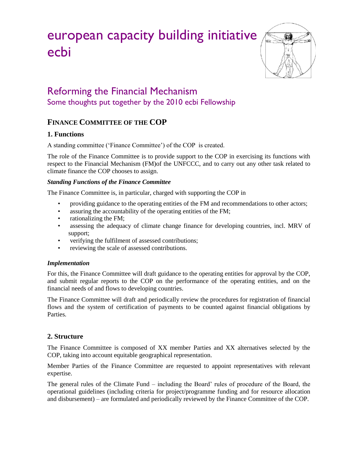# european capacity building initiative ecbi



# Reforming the Financial Mechanism Some thoughts put together by the 2010 ecbi Fellowship

## **FINANCE COMMITTEE OF THE COP**

#### **1. Functions**

A standing committee ('Finance Committee') of the COP is created.

The role of the Finance Committee is to provide support to the COP in exercising its functions with respect to the Financial Mechanism (FM)of the UNFCCC, and to carry out any other task related to climate finance the COP chooses to assign.

#### *Standing Functions of the Finance Committee*

The Finance Committee is, in particular, charged with supporting the COP in

- providing guidance to the operating entities of the FM and recommendations to other actors;
- assuring the accountability of the operating entities of the FM;
- rationalizing the FM;
- assessing the adequacy of climate change finance for developing countries, incl. MRV of support;
- verifying the fulfilment of assessed contributions;
- reviewing the scale of assessed contributions.

#### *Implementation*

For this, the Finance Committee will draft guidance to the operating entities for approval by the COP, and submit regular reports to the COP on the performance of the operating entities, and on the financial needs of and flows to developing countries.

The Finance Committee will draft and periodically review the procedures for registration of financial flows and the system of certification of payments to be counted against financial obligations by Parties.

#### **2. Structure**

The Finance Committee is composed of XX member Parties and XX alternatives selected by the COP, taking into account equitable geographical representation.

Member Parties of the Finance Committee are requested to appoint representatives with relevant expertise.

The general rules of the Climate Fund – including the Board' rules of procedure of the Board, the operational guidelines (including criteria for project/programme funding and for resource allocation and disbursement) – are formulated and periodically reviewed by the Finance Committee of the COP.